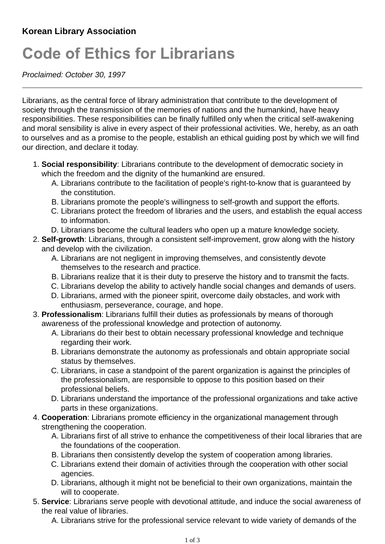## **Code of Ethics for Librarians**

*Proclaimed: October 30, 1997*

Librarians, as the central force of library administration that contribute to the development of society through the transmission of the memories of nations and the humankind, have heavy responsibilities. These responsibilities can be finally fulfilled only when the critical self-awakening and moral sensibility is alive in every aspect of their professional activities. We, hereby, as an oath to ourselves and as a promise to the people, establish an ethical guiding post by which we will find our direction, and declare it today.

- **Social responsibility**: Librarians contribute to the development of democratic society in 1. which the freedom and the dignity of the humankind are ensured.
	- A. Librarians contribute to the facilitation of people's right-to-know that is guaranteed by the constitution.
	- B. Librarians promote the people's willingness to self-growth and support the efforts.
	- Librarians protect the freedom of libraries and the users, and establish the equal access C. to information.
	- D. Librarians become the cultural leaders who open up a mature knowledge society.
- **Self-growth**: Librarians, through a consistent self-improvement, grow along with the history 2. and develop with the civilization.
	- A. Librarians are not negligent in improving themselves, and consistently devote themselves to the research and practice.
	- B. Librarians realize that it is their duty to preserve the history and to transmit the facts.
	- C. Librarians develop the ability to actively handle social changes and demands of users.
	- D. Librarians, armed with the pioneer spirit, overcome daily obstacles, and work with enthusiasm, perseverance, courage, and hope.
- **Professionalism**: Librarians fulfill their duties as professionals by means of thorough 3. awareness of the professional knowledge and protection of autonomy.
	- A. Librarians do their best to obtain necessary professional knowledge and technique regarding their work.
	- B. Librarians demonstrate the autonomy as professionals and obtain appropriate social status by themselves.
	- Librarians, in case a standpoint of the parent organization is against the principles of C. the professionalism, are responsible to oppose to this position based on their professional beliefs.
	- D. Librarians understand the importance of the professional organizations and take active parts in these organizations.
- **Cooperation**: Librarians promote efficiency in the organizational management through 4. strengthening the cooperation.
	- A. Librarians first of all strive to enhance the competitiveness of their local libraries that are the foundations of the cooperation.
	- B. Librarians then consistently develop the system of cooperation among libraries.
	- C. Librarians extend their domain of activities through the cooperation with other social agencies.
	- D. Librarians, although it might not be beneficial to their own organizations, maintain the will to cooperate.
- **Service**: Librarians serve people with devotional attitude, and induce the social awareness of 5. the real value of libraries.
	- A. Librarians strive for the professional service relevant to wide variety of demands of the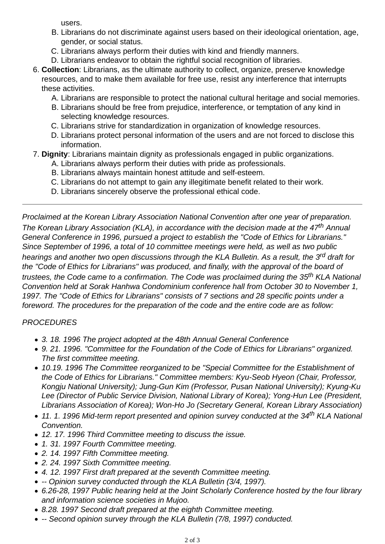users.

- B. Librarians do not discriminate against users based on their ideological orientation, age, gender, or social status.
- C. Librarians always perform their duties with kind and friendly manners.
- D. Librarians endeavor to obtain the rightful social recognition of libraries.
- **Collection**: Librarians, as the ultimate authority to collect, organize, preserve knowledge 6. resources, and to make them available for free use, resist any interference that interrupts these activities.
	- A. Librarians are responsible to protect the national cultural heritage and social memories.
	- B. Librarians should be free from prejudice, interference, or temptation of any kind in selecting knowledge resources.
	- C. Librarians strive for standardization in organization of knowledge resources.
	- D. Librarians protect personal information of the users and are not forced to disclose this information.
- 7. **Dignity**: Librarians maintain dignity as professionals engaged in public organizations.
	- A. Librarians always perform their duties with pride as professionals.
	- B. Librarians always maintain honest attitude and self-esteem.
	- C. Librarians do not attempt to gain any illegitimate benefit related to their work.
	- D. Librarians sincerely observe the professional ethical code.

*Proclaimed at the Korean Library Association National Convention after one year of preparation. The Korean Library Association (KLA), in accordance with the decision made at the 47th Annual General Conference in 1996, pursued a project to establish the "Code of Ethics for Librarians." Since September of 1996, a total of 10 committee meetings were held, as well as two public hearings and another two open discussions through the KLA Bulletin. As a result, the 3rd draft for the "Code of Ethics for Librarians" was produced, and finally, with the approval of the board of trustees, the Code came to a confirmation. The Code was proclaimed during the 35th KLA National Convention held at Sorak Hanhwa Condominium conference hall from October 30 to November 1, 1997. The "Code of Ethics for Librarians" consists of 7 sections and 28 specific points under a foreword. The procedures for the preparation of the code and the entire code are as follow:*

## *PROCEDURES*

- *3. 18. 1996 The project adopted at the 48th Annual General Conference*
- *9. 21. 1996. "Committee for the Foundation of the Code of Ethics for Librarians" organized. The first committee meeting.*
- *10.19. 1996 The Committee reorganized to be "Special Committee for the Establishment of the Code of Ethics for Librarians." Committee members: Kyu-Seob Hyeon (Chair, Professor, Kongju National University); Jung-Gun Kim (Professor, Pusan National University); Kyung-Ku Lee (Director of Public Service Division, National Library of Korea); Yong-Hun Lee (President, Librarians Association of Korea); Won-Ho Jo (Secretary General, Korean Library Association)*
- *11. 1. 1996 Mid-term report presented and opinion survey conducted at the 34th KLA National Convention.*
- *12. 17. 1996 Third Committee meeting to discuss the issue.*
- *1. 31. 1997 Fourth Committee meeting.*
- *2. 14. 1997 Fifth Committee meeting.*
- *2. 24. 1997 Sixth Committee meeting.*
- *4. 12. 1997 First draft prepared at the seventh Committee meeting.*
- *-- Opinion survey conducted through the KLA Bulletin (3/4, 1997).*
- *6.26-28, 1997 Public hearing held at the Joint Scholarly Conference hosted by the four library and information science societies in Mujoo.*
- *8.28. 1997 Second draft prepared at the eighth Committee meeting.*
- *-- Second opinion survey through the KLA Bulletin (7/8, 1997) conducted.*